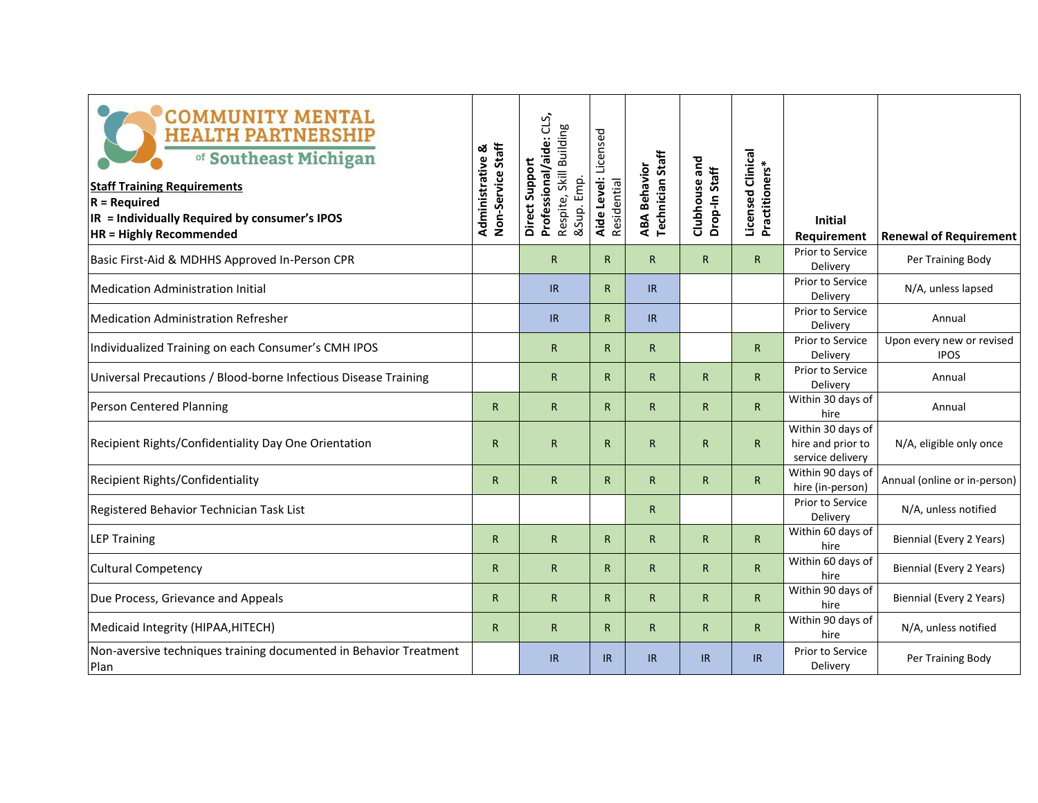| <b>COMMUNITY MENTAL</b><br><b>HEALTH PARTNERSHIP</b><br>of Southeast Michigan<br><b>Staff Training Requirements</b><br>$R = Required$<br>IR = Individually Required by consumer's IPOS<br><b>HR = Highly Recommended</b> | Non-Service Staff<br>ఱ<br>Administrative | Professional/aide: CLS,<br>Respite, Skill Building<br>Direct Support<br>&Sup. Emp. | Aide Level: Licensed<br>Residential | <b>Technician Staff</b><br><b>ABA Behavior</b> | and<br>Drop-In Staff<br>Clubhouse | <b>Licensed Clinical</b><br>Practitioners* | <b>Initial</b><br>Requirement                              | <b>Renewal of Requirement</b>            |
|--------------------------------------------------------------------------------------------------------------------------------------------------------------------------------------------------------------------------|------------------------------------------|------------------------------------------------------------------------------------|-------------------------------------|------------------------------------------------|-----------------------------------|--------------------------------------------|------------------------------------------------------------|------------------------------------------|
| Basic First-Aid & MDHHS Approved In-Person CPR                                                                                                                                                                           |                                          | $\mathsf{R}$                                                                       | $\mathsf{R}$                        | $\mathsf{R}$                                   | $\mathsf{R}$                      | R                                          | Prior to Service<br>Delivery                               | Per Training Body                        |
| <b>Medication Administration Initial</b>                                                                                                                                                                                 |                                          | IR                                                                                 | $\mathsf{R}$                        | IR.                                            |                                   |                                            | Prior to Service<br>Delivery                               | N/A, unless lapsed                       |
| <b>Medication Administration Refresher</b>                                                                                                                                                                               |                                          | IR                                                                                 | $\mathsf{R}$                        | IR.                                            |                                   |                                            | Prior to Service<br>Delivery                               | Annual                                   |
| Individualized Training on each Consumer's CMH IPOS                                                                                                                                                                      |                                          | $\mathsf{R}$                                                                       | $\mathsf{R}$                        | $\mathsf{R}$                                   |                                   | R                                          | Prior to Service<br>Delivery                               | Upon every new or revised<br><b>IPOS</b> |
| Universal Precautions / Blood-borne Infectious Disease Training                                                                                                                                                          |                                          | $\mathsf{R}$                                                                       | $\mathsf{R}$                        | $\mathsf{R}$                                   | $\mathsf{R}$                      | R                                          | Prior to Service<br>Delivery                               | Annual                                   |
| Person Centered Planning                                                                                                                                                                                                 | $\mathsf{R}$                             | $\mathsf{R}$                                                                       | $\mathsf{R}$                        | $\mathsf{R}$                                   | $\mathsf{R}$                      | R                                          | Within 30 days of<br>hire                                  | Annual                                   |
| Recipient Rights/Confidentiality Day One Orientation                                                                                                                                                                     | $\mathsf{R}$                             | $\mathsf{R}$                                                                       | $\mathsf{R}$                        | $\mathsf{R}$                                   | $\mathsf{R}$                      | R                                          | Within 30 days of<br>hire and prior to<br>service delivery | N/A, eligible only once                  |
| Recipient Rights/Confidentiality                                                                                                                                                                                         | $\mathsf{R}$                             | $\mathsf{R}$                                                                       | $\mathsf{R}$                        | $\mathsf{R}$                                   | $\mathsf{R}$                      | R                                          | Within 90 days of<br>hire (in-person)                      | Annual (online or in-person)             |
| Registered Behavior Technician Task List                                                                                                                                                                                 |                                          |                                                                                    |                                     | $\mathsf{R}$                                   |                                   |                                            | Prior to Service<br>Delivery                               | N/A, unless notified                     |
| <b>LEP Training</b>                                                                                                                                                                                                      | $\mathsf{R}$                             | $\mathsf{R}$                                                                       | $\mathsf{R}$                        | $\mathsf{R}$                                   | $\mathsf{R}$                      | R                                          | Within 60 days of<br>hire                                  | Biennial (Every 2 Years)                 |
| <b>Cultural Competency</b>                                                                                                                                                                                               | $\mathsf{R}$                             | $\mathsf{R}$                                                                       | $\mathsf{R}$                        | $\mathsf{R}$                                   | $\mathsf{R}$                      | R                                          | Within 60 days of<br>hire                                  | Biennial (Every 2 Years)                 |
| Due Process, Grievance and Appeals                                                                                                                                                                                       | $\mathsf{R}$                             | $\mathsf{R}$                                                                       | $\mathsf{R}$                        | $\mathsf{R}$                                   | $\mathsf{R}$                      | $\mathsf R$                                | Within 90 days of<br>hire                                  | Biennial (Every 2 Years)                 |
| Medicaid Integrity (HIPAA, HITECH)                                                                                                                                                                                       | $\mathsf{R}$                             | $\mathsf{R}$                                                                       | $\mathsf{R}$                        | $\mathsf{R}$                                   | $\mathsf{R}$                      | R                                          | Within 90 days of<br>hire                                  | N/A, unless notified                     |
| Non-aversive techniques training documented in Behavior Treatment<br>Plan                                                                                                                                                |                                          | IR                                                                                 | IR                                  | IR.                                            | IR.                               | IR                                         | Prior to Service<br>Delivery                               | Per Training Body                        |